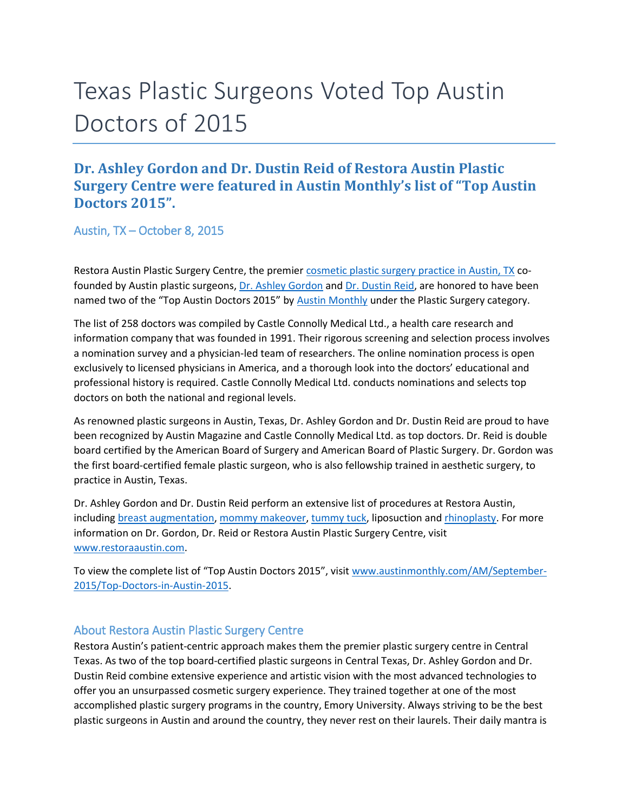## Texas Plastic Surgeons Voted Top Austin Doctors of 2015

## **Dr. Ashley Gordon and Dr. Dustin Reid of Restora Austin Plastic Surgery Centre were featured in Austin Monthly's list of "Top Austin Doctors 2015".**

Austin, TX – October 8, 2015

Restora Austin Plastic Surgery Centre, the premier [cosmetic plastic surgery practice in Austin, TX](http://www.restoraaustin.com/) co-founded by Austin plastic surgeons, [Dr. Ashley Gordon](http://www.restoraaustin.com/our-practice/meet-our-surgeons/female-plastic-surgeon-austin-tx/) and [Dr. Dustin Reid,](http://www.restoraaustin.com/our-practice/meet-our-surgeons/plastic-surgeon-austin-tx/) are honored to have been named two of the "Top Austin Doctors 2015" by [Austin Monthly](http://www.austinmonthly.com/) under the Plastic Surgery category.

The list of 258 doctors was compiled by Castle Connolly Medical Ltd., a health care research and information company that was founded in 1991. Their rigorous screening and selection process involves a nomination survey and a physician-led team of researchers. The online nomination process is open exclusively to licensed physicians in America, and a thorough look into the doctors' educational and professional history is required. Castle Connolly Medical Ltd. conducts nominations and selects top doctors on both the national and regional levels.

As renowned plastic surgeons in Austin, Texas, Dr. Ashley Gordon and Dr. Dustin Reid are proud to have been recognized by Austin Magazine and Castle Connolly Medical Ltd. as top doctors. Dr. Reid is double board certified by the American Board of Surgery and American Board of Plastic Surgery. Dr. Gordon was the first board-certified female plastic surgeon, who is also fellowship trained in aesthetic surgery, to practice in Austin, Texas.

Dr. Ashley Gordon and Dr. Dustin Reid perform an extensive list of procedures at Restora Austin, including [breast augmentation,](http://www.restoraaustin.com/breast-augmentation-austin-tx/http:/www.restoraaustin.com/breast-lift-austin-tx/http:/www.restoraaustin.com/breast-augmentation-austin-tx/) [mommy makeover,](http://www.restoraaustin.com/mommy-makeover-austin-tx/) [tummy tuck,](http://www.restoraaustin.com/intro-to-tummy-tuck-abdominoplasty/) liposuction an[d rhinoplasty.](http://www.restoraaustin.com/face/rhinoplasty-austin-tx/) For more information on Dr. Gordon, Dr. Reid or Restora Austin Plastic Surgery Centre, visit [www.restoraaustin.com.](http://www.restoraaustin.com/)

To view the complete list of "Top Austin Doctors 2015", visit [www.austinmonthly.com/AM/September-](http://www.austinmonthly.com/AM/September-2015/Top-Doctors-in-Austin-2015)[2015/Top-Doctors-in-Austin-2015.](http://www.austinmonthly.com/AM/September-2015/Top-Doctors-in-Austin-2015)

## About Restora Austin Plastic Surgery Centre

Restora Austin's patient-centric approach makes them the premier plastic surgery centre in Central Texas. As two of the top board-certified plastic surgeons in Central Texas, Dr. Ashley Gordon and Dr. Dustin Reid combine extensive experience and artistic vision with the most advanced technologies to offer you an unsurpassed cosmetic surgery experience. They trained together at one of the most accomplished plastic surgery programs in the country, Emory University. Always striving to be the best plastic surgeons in Austin and around the country, they never rest on their laurels. Their daily mantra is